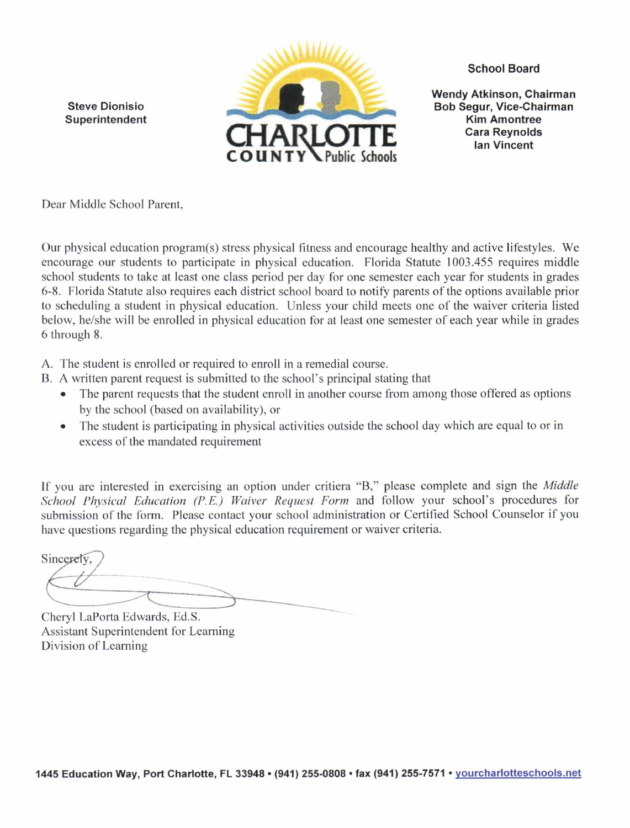Steve Dionisio Superintendent



School Board

Wendy Atkinson, Chairman Bob Segur, Vice-Chairman Kim Amontree Cara Reynolds lan Vincent

Dear Middle School Parent.

Our physical education program(s) stress physical fitness and encourage healthy and active lifestyles. We encourage our students to participate in physical education. Florida Statute 1003.455 requires middle school students to take at least one class period per day for one semester each year for students in grades 6-8. Florida Statute also requires each district school board to notify parents of the options available prior to scheduling a student in physical education. Unless your child meets one of the waiver criteria listed below, he/she will be enrolled in physical education for at least one semester of each year while in grades 6 through 8.

A. The student is enrolled or required to enroll in a remedial course.

B. A written parent request is submitted to the school's principal stating that

- The parent requests that the student enroll in another course from among those offered as options by the school (based on availability), or
- The student is participating in physical activities outside the school day which are equal to or in excess of the mandated requirement

If you are interested in exercising an option under critiera "B," please complete and sign the Middle School Physical Education (P.E.) Waiver Request Form and follow your school's procedures for submission of the form. Please contact your school administration or Certified School Counselor if you have questions regarding the physical education requirement or waiver criteria.

Sincerely.

Cheryl LaPorta Edwards, Ed.S. Assistant Superintendent for Learning Division of Learning